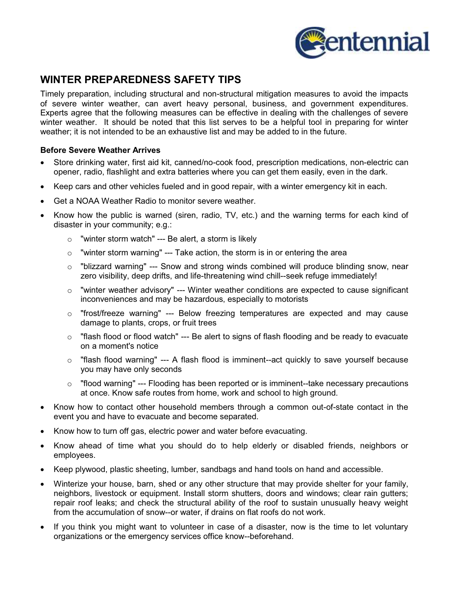

# **WINTER PREPAREDNESS SAFETY TIPS**

Timely preparation, including structural and non-structural mitigation measures to avoid the impacts of severe winter weather, can avert heavy personal, business, and government expenditures. Experts agree that the following measures can be effective in dealing with the challenges of severe winter weather. It should be noted that this list serves to be a helpful tool in preparing for winter weather; it is not intended to be an exhaustive list and may be added to in the future.

## **Before Severe Weather Arrives**

- $\bullet$  Store drinking water, first aid kit, canned/no-cook food, prescription medications, non-electric can opener, radio, flashlight and extra batteries where you can get them easily, even in the dark.
- -Keep cars and other vehicles fueled and in good repair, with a winter emergency kit in each.
- -Get a NOAA Weather Radio to monitor severe weather.
- $\bullet$  Know how the public is warned (siren, radio, TV, etc.) and the warning terms for each kind of disaster in your community; e.g.:
	- $\circ$  "winter storm watch" --- Be alert, a storm is likely
	- $\circ$  "winter storm warning" --- Take action, the storm is in or entering the area
	- o "blizzard warning" --- Snow and strong winds combined will produce blinding snow, near zero visibility, deep drifts, and life-threatening wind chill--seek refuge immediately!
	- $\circ$  "winter weather advisory" --- Winter weather conditions are expected to cause significant inconveniences and may be hazardous, especially to motorists
	- $\circ$  "frost/freeze warning" --- Below freezing temperatures are expected and may cause damage to plants, crops, or fruit trees
	- $\circ$  "flash flood or flood watch" --- Be alert to signs of flash flooding and be ready to evacuate on a moment's notice
	- $\circ$  "flash flood warning" --- A flash flood is imminent--act quickly to save yourself because you may have only seconds
	- $\circ$  "flood warning" --- Flooding has been reported or is imminent--take necessary precautions at once. Know safe routes from home, work and school to high ground.
- - Know how to contact other household members through a common out-of-state contact in the event you and have to evacuate and become separated.
- -Know how to turn off gas, electric power and water before evacuating.
- - Know ahead of time what you should do to help elderly or disabled friends, neighbors or employees.
- -Keep plywood, plastic sheeting, lumber, sandbags and hand tools on hand and accessible.
- - Winterize your house, barn, shed or any other structure that may provide shelter for your family, neighbors, livestock or equipment. Install storm shutters, doors and windows; clear rain gutters; repair roof leaks; and check the structural ability of the roof to sustain unusually heavy weight from the accumulation of snow--or water, if drains on flat roofs do not work.
- If you think you might want to volunteer in case of a disaster, now is the time to let voluntary organizations or the emergency services office know--beforehand.